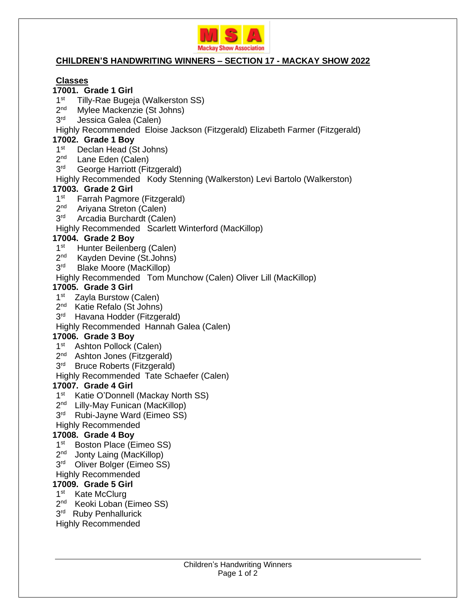

#### **CHILDREN'S HANDWRITING WINNERS – SECTION 17 - MACKAY SHOW 2022**

## **Classes**

# **17001. Grade 1 Girl**

- 1 st Tilly-Rae Bugeja (Walkerston SS)
- 2 nd Mylee Mackenzie (St Johns)
- 3 rd Jessica Galea (Calen)

#### Highly Recommended Eloise Jackson (Fitzgerald) Elizabeth Farmer (Fitzgerald)

#### **17002. Grade 1 Boy**

- 1 st Declan Head (St Johns)
- 2 nd Lane Eden (Calen)
- 3 rd George Harriott (Fitzgerald)

## Highly Recommended Kody Stenning (Walkerston) Levi Bartolo (Walkerston)

## **17003. Grade 2 Girl**

- 1 st Farrah Pagmore (Fitzgerald)
- 2 nd Ariyana Streton (Calen)
- 3 rd Arcadia Burchardt (Calen)
- Highly Recommended Scarlett Winterford (MacKillop)

## **17004. Grade 2 Boy**

- 1 st Hunter Beilenberg (Calen)
- 2 nd Kayden Devine (St.Johns)
- 3 rd Blake Moore (MacKillop)
- Highly Recommended Tom Munchow (Calen) Oliver Lill (MacKillop)

## **17005. Grade 3 Girl**

- 1<sup>st</sup> Zayla Burstow (Calen)
- 2<sup>nd</sup> Katie Refalo (St Johns)
- 3<sup>rd</sup> Havana Hodder (Fitzgerald)

#### Highly Recommended Hannah Galea (Calen)

## **17006. Grade 3 Boy**

- 1<sup>st</sup> Ashton Pollock (Calen)
- 2<sup>nd</sup> Ashton Jones (Fitzgerald)
- 3<sup>rd</sup> Bruce Roberts (Fitzgerald)
- Highly Recommended Tate Schaefer (Calen)

## **17007. Grade 4 Girl**

- 1<sup>st</sup> Katie O'Donnell (Mackay North SS)
- 2<sup>nd</sup> Lilly-May Funican (MacKillop)
- 3<sup>rd</sup> Rubi-Jayne Ward (Eimeo SS)
- Highly Recommended

## **17008. Grade 4 Boy**

- 1<sup>st</sup> Boston Place (Eimeo SS)
- 2<sup>nd</sup> Jonty Laing (MacKillop)
- 3<sup>rd</sup> Oliver Bolger (Eimeo SS)
- Highly Recommended

#### **17009. Grade 5 Girl**

- 1<sup>st</sup> Kate McClurg
- 2<sup>nd</sup> Keoki Loban (Eimeo SS)
- 3<sup>rd</sup> Ruby Penhallurick
- Highly Recommended